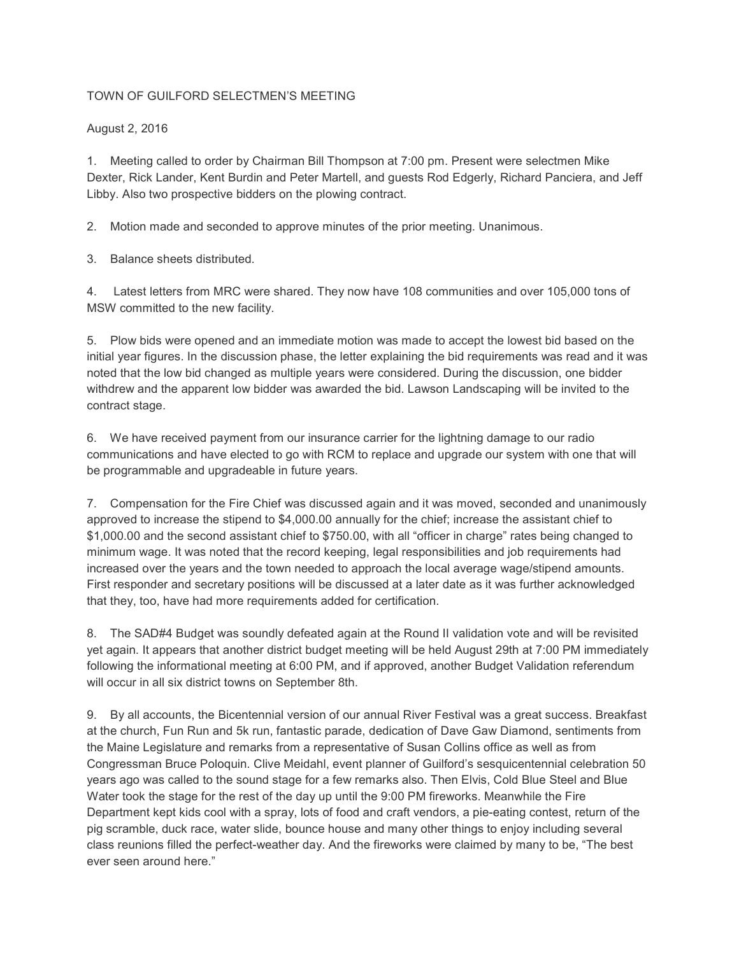## TOWN OF GUILFORD SELECTMEN'S MEETING

## August 2, 2016

1. Meeting called to order by Chairman Bill Thompson at 7:00 pm. Present were selectmen Mike Dexter, Rick Lander, Kent Burdin and Peter Martell, and guests Rod Edgerly, Richard Panciera, and Jeff Libby. Also two prospective bidders on the plowing contract.

2. Motion made and seconded to approve minutes of the prior meeting. Unanimous.

3. Balance sheets distributed.

4. Latest letters from MRC were shared. They now have 108 communities and over 105,000 tons of MSW committed to the new facility.

5. Plow bids were opened and an immediate motion was made to accept the lowest bid based on the initial year figures. In the discussion phase, the letter explaining the bid requirements was read and it was noted that the low bid changed as multiple years were considered. During the discussion, one bidder withdrew and the apparent low bidder was awarded the bid. Lawson Landscaping will be invited to the contract stage.

6. We have received payment from our insurance carrier for the lightning damage to our radio communications and have elected to go with RCM to replace and upgrade our system with one that will be programmable and upgradeable in future years.

7. Compensation for the Fire Chief was discussed again and it was moved, seconded and unanimously approved to increase the stipend to \$4,000.00 annually for the chief; increase the assistant chief to \$1,000.00 and the second assistant chief to \$750.00, with all "officer in charge" rates being changed to minimum wage. It was noted that the record keeping, legal responsibilities and job requirements had increased over the years and the town needed to approach the local average wage/stipend amounts. First responder and secretary positions will be discussed at a later date as it was further acknowledged that they, too, have had more requirements added for certification.

8. The SAD#4 Budget was soundly defeated again at the Round II validation vote and will be revisited yet again. It appears that another district budget meeting will be held August 29th at 7:00 PM immediately following the informational meeting at 6:00 PM, and if approved, another Budget Validation referendum will occur in all six district towns on September 8th.

9. By all accounts, the Bicentennial version of our annual River Festival was a great success. Breakfast at the church, Fun Run and 5k run, fantastic parade, dedication of Dave Gaw Diamond, sentiments from the Maine Legislature and remarks from a representative of Susan Collins office as well as from Congressman Bruce Poloquin. Clive Meidahl, event planner of Guilford's sesquicentennial celebration 50 years ago was called to the sound stage for a few remarks also. Then Elvis, Cold Blue Steel and Blue Water took the stage for the rest of the day up until the 9:00 PM fireworks. Meanwhile the Fire Department kept kids cool with a spray, lots of food and craft vendors, a pie-eating contest, return of the pig scramble, duck race, water slide, bounce house and many other things to enjoy including several class reunions filled the perfect-weather day. And the fireworks were claimed by many to be, "The best ever seen around here."